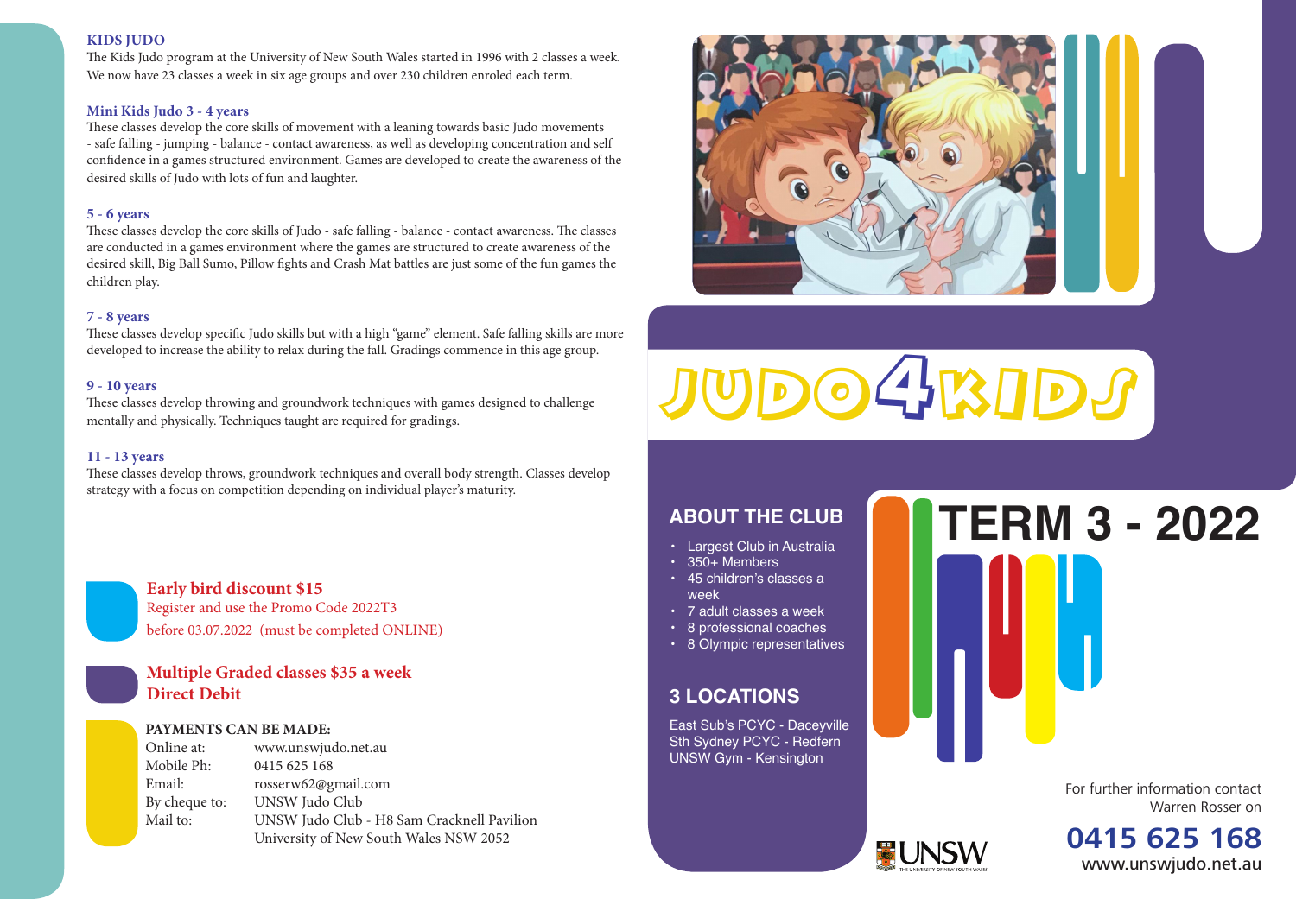# **KIDS JUDO**

The Kids Judo program at the University of New South Wales started in 1996 with 2 classes a week. We now have 23 classes a week in six age groups and over 230 children enroled each term.

### **Mini Kids Judo 3 - 4 years**

These classes develop the core skills of movement with a leaning towards basic Judo movements - safe falling - jumping - balance - contact awareness, as well as developing concentration and self confidence in a games structured environment. Games are developed to create the awareness of the desired skills of Judo with lots of fun and laughter.

### **5 - 6 years**

These classes develop the core skills of Judo - safe falling - balance - contact awareness. The classes are conducted in a games environment where the games are structured to create awareness of the desired skill, Big Ball Sumo, Pillow fights and Crash Mat battles are just some of the fun games the children play.

# **7 - 8 years**

These classes develop specific Judo skills but with a high "game" element. Safe falling skills are more developed to increase the ability to relax during the fall. Gradings commence in this age group.

## **9 - 10 years**

These classes develop throwing and groundwork techniques with games designed to challenge mentally and physically. Techniques taught are required for gradings.

# **11 - 13 years**

These classes develop throws, groundwork techniques and overall body strength. Classes develop strategy with a focus on competition depending on individual player's maturity.



# **Multiple Graded classes \$35 a week Direct Debit**

# **PAYMENTS CAN BE MADE:**

Online at: www.unswjudo.net.au Mobile Ph: 0415 625 168 Email: rosserw62@gmail.com By cheque to: UNSW Judo Club Mail to: UNSW Judo Club - H8 Sam Cracknell Pavilion University of New South Wales NSW 2052



 $D$ o $4$ k $1D$ 

- Largest Club in Australia
- • 350+ Members
- • 45 children's classes a week
- • 7 adult classes a week
- • 8 professional coaches
- • 8 Olympic representatives

# **3 LOCATIONS**

East Sub's PCYC - Daceyville Sth Sydney PCYC - Redfern UNSW Gym - Kensington

# **ABOUT THE CLUB TERM 3 - 2022**

For further information contact Warren Rosser on